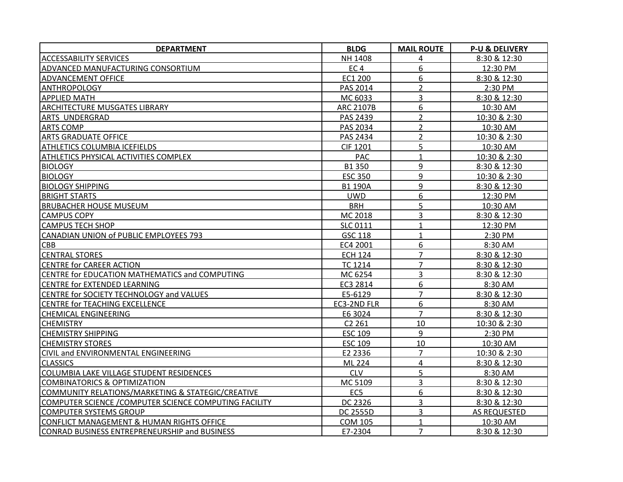| <b>DEPARTMENT</b>                                      | <b>BLDG</b>        | <b>MAIL ROUTE</b> | <b>P-U &amp; DELIVERY</b> |
|--------------------------------------------------------|--------------------|-------------------|---------------------------|
| <b>ACCESSABILITY SERVICES</b>                          | NH 1408            | 4                 | 8:30 & 12:30              |
| ADVANCED MANUFACTURING CONSORTIUM                      | EC <sub>4</sub>    | 6                 | 12:30 PM                  |
| ADVANCEMENT OFFICE                                     | EC1 200            | 6                 | 8:30 & 12:30              |
| <b>ANTHROPOLOGY</b>                                    | PAS 2014           | $\overline{2}$    | 2:30 PM                   |
| <b>APPLIED MATH</b>                                    | MC 6033            | 3                 | 8:30 & 12:30              |
| <b>ARCHITECTURE MUSGATES LIBRARY</b>                   | <b>ARC 2107B</b>   | 6                 | 10:30 AM                  |
| ARTS UNDERGRAD                                         | PAS 2439           | $\overline{2}$    | 10:30 & 2:30              |
| <b>ARTS COMP</b>                                       | PAS 2034           | $\overline{2}$    | 10:30 AM                  |
| <b>ARTS GRADUATE OFFICE</b>                            | PAS 2434           | $\overline{2}$    | 10:30 & 2:30              |
| <b>ATHLETICS COLUMBIA ICEFIELDS</b>                    | <b>CIF 1201</b>    | 5                 | 10:30 AM                  |
| <b>ATHLETICS PHYSICAL ACTIVITIES COMPLEX</b>           | <b>PAC</b>         | $\mathbf{1}$      | 10:30 & 2:30              |
| <b>BIOLOGY</b>                                         | B1 350             | 9                 | 8:30 & 12:30              |
| <b>BIOLOGY</b>                                         | <b>ESC 350</b>     | 9                 | 10:30 & 2:30              |
| <b>BIOLOGY SHIPPING</b>                                | <b>B1 190A</b>     | 9                 | 8:30 & 12:30              |
| <b>BRIGHT STARTS</b>                                   | <b>UWD</b>         | 6                 | 12:30 PM                  |
| <b>BRUBACHER HOUSE MUSEUM</b>                          | <b>BRH</b>         | 5                 | 10:30 AM                  |
| <b>CAMPUS COPY</b>                                     | MC 2018            | 3                 | 8:30 & 12:30              |
| CAMPUS TECH SHOP                                       | <b>SLC 0111</b>    | $\mathbf{1}$      | 12:30 PM                  |
| CANADIAN UNION of PUBLIC EMPLOYEES 793                 | <b>GSC 118</b>     | $\mathbf{1}$      | 2:30 PM                   |
| <b>CBB</b>                                             | EC4 2001           | 6                 | 8:30 AM                   |
| <b>CENTRAL STORES</b>                                  | <b>ECH 124</b>     | $\overline{7}$    | 8:30 & 12:30              |
| <b>CENTRE for CAREER ACTION</b>                        | <b>TC 1214</b>     | $\overline{7}$    | 8:30 & 12:30              |
| CENTRE for EDUCATION MATHEMATICS and COMPUTING         | MC 6254            | 3                 | 8:30 & 12:30              |
| <b>CENTRE for EXTENDED LEARNING</b>                    | EC3 2814           | 6                 | 8:30 AM                   |
| CENTRE for SOCIETY TECHNOLOGY and VALUES               | E5-6129            | $\overline{7}$    | 8:30 & 12:30              |
| <b>CENTRE for TEACHING EXCELLENCE</b>                  | EC3-2ND FLR        | 6                 | 8:30 AM                   |
| <b>CHEMICAL ENGINEERING</b>                            | E6 3024            | $\overline{7}$    | 8:30 & 12:30              |
| <b>CHEMISTRY</b>                                       | C <sub>2</sub> 261 | 10                | 10:30 & 2:30              |
| <b>CHEMISTRY SHIPPING</b>                              | <b>ESC 109</b>     | 9                 | $2:30$ PM                 |
| <b>CHEMISTRY STORES</b>                                | <b>ESC 109</b>     | 10                | 10:30 AM                  |
| CIVIL and ENVIRONMENTAL ENGINEERING                    | E2 2336            | $\overline{7}$    | 10:30 & 2:30              |
| <b>CLASSICS</b>                                        | ML 224             | 4                 | 8:30 & 12:30              |
| COLUMBIA LAKE VILLAGE STUDENT RESIDENCES               | <b>CLV</b>         | 5                 | 8:30 AM                   |
| <b>COMBINATORICS &amp; OPTIMIZATION</b>                | MC 5109            | 3                 | 8:30 & 12:30              |
| COMMUNITY RELATIONS/MARKETING & STATEGIC/CREATIVE      | EC <sub>5</sub>    | 6                 | 8:30 & 12:30              |
| COMPUTER SCIENCE / COMPUTER SCIENCE COMPUTING FACILITY | DC 2326            | 3                 | 8:30 & 12:30              |
| <b>COMPUTER SYSTEMS GROUP</b>                          | <b>DC 2555D</b>    | 3                 | AS REQUESTED              |
| CONFLICT MANAGEMENT & HUMAN RIGHTS OFFICE              | <b>COM 105</b>     | $\mathbf{1}$      | 10:30 AM                  |
| <b>CONRAD BUSINESS ENTREPRENEURSHIP and BUSINESS</b>   | E7-2304            | $\overline{7}$    | 8:30 & 12:30              |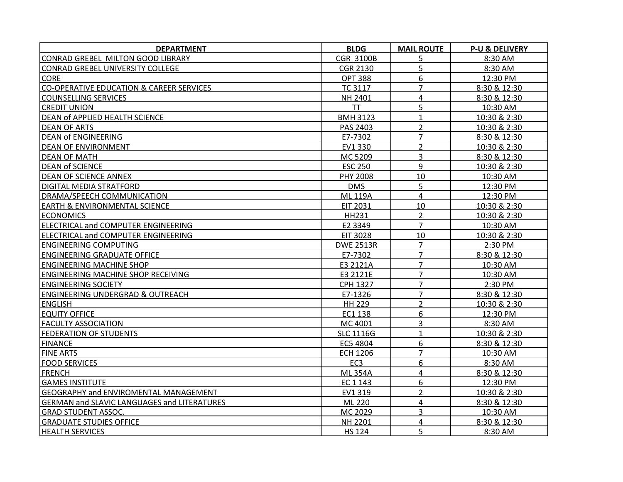| <b>DEPARTMENT</b>                                  | <b>BLDG</b>      | <b>MAIL ROUTE</b> | <b>P-U &amp; DELIVERY</b> |
|----------------------------------------------------|------------------|-------------------|---------------------------|
| CONRAD GREBEL MILTON GOOD LIBRARY                  | <b>CGR 3100B</b> | 5                 | 8:30 AM                   |
| CONRAD GREBEL UNIVERSITY COLLEGE                   | <b>CGR 2130</b>  | 5                 | 8:30 AM                   |
| <b>CORE</b>                                        | <b>OPT 388</b>   | 6                 | 12:30 PM                  |
| CO-OPERATIVE EDUCATION & CAREER SERVICES           | <b>TC 3117</b>   | $\overline{7}$    | 8:30 & 12:30              |
| <b>COUNSELLING SERVICES</b>                        | NH 2401          | 4                 | 8:30 & 12:30              |
| <b>CREDIT UNION</b>                                | <b>TT</b>        | 5                 | 10:30 AM                  |
| <b>DEAN of APPLIED HEALTH SCIENCE</b>              | <b>BMH 3123</b>  | $\mathbf{1}$      | 10:30 & 2:30              |
| <b>DEAN OF ARTS</b>                                | PAS 2403         | $\overline{2}$    | 10:30 & 2:30              |
| DEAN of ENGINEERING                                | E7-7302          | $\overline{7}$    | 8:30 & 12:30              |
| DEAN OF ENVIRONMENT                                | EV1 330          | $\overline{2}$    | 10:30 & 2:30              |
| <b>DEAN OF MATH</b>                                | MC 5209          | 3                 | 8:30 & 12:30              |
| <b>DEAN of SCIENCE</b>                             | <b>ESC 250</b>   | 9                 | 10:30 & 2:30              |
| <b>DEAN OF SCIENCE ANNEX</b>                       | PHY 2008         | 10                | 10:30 AM                  |
| <b>DIGITAL MEDIA STRATFORD</b>                     | <b>DMS</b>       | 5                 | 12:30 PM                  |
| DRAMA/SPEECH COMMUNICATION                         | <b>ML 119A</b>   | 4                 | 12:30 PM                  |
| <b>EARTH &amp; ENVIRONMENTAL SCIENCE</b>           | <b>EIT 2031</b>  | 10                | 10:30 & 2:30              |
| <b>ECONOMICS</b>                                   | <b>HH231</b>     | $\overline{2}$    | 10:30 & 2:30              |
| ELECTRICAL and COMPUTER ENGINEERING                | E2 3349          | $\overline{7}$    | 10:30 AM                  |
| ELECTRICAL and COMPUTER ENGINEERING                | <b>EIT 3028</b>  | 10                | 10:30 & 2:30              |
| <b>ENGINEERING COMPUTING</b>                       | <b>DWE 2513R</b> | $\overline{7}$    | 2:30 PM                   |
| <b>ENGINEERING GRADUATE OFFICE</b>                 | E7-7302          | $\overline{7}$    | 8:30 & 12:30              |
| <b>ENGINEERING MACHINE SHOP</b>                    | E3 2121A         | $\overline{7}$    | 10:30 AM                  |
| <b>ENGINEERING MACHINE SHOP RECEIVING</b>          | E3 2121E         | $\overline{7}$    | 10:30 AM                  |
| <b>ENGINEERING SOCIETY</b>                         | <b>CPH 1327</b>  | $\overline{7}$    | 2:30 PM                   |
| ENGINEERING UNDERGRAD & OUTREACH                   | E7-1326          | $\overline{7}$    | 8:30 & 12:30              |
| <b>ENGLISH</b>                                     | <b>HH 229</b>    | $\overline{2}$    | 10:30 & 2:30              |
| <b>EQUITY OFFICE</b>                               | EC1 138          | 6                 | 12:30 PM                  |
| <b>FACULTY ASSOCIATION</b>                         | MC 4001          | 3                 | 8:30 AM                   |
| <b>FEDERATION OF STUDENTS</b>                      | <b>SLC 1116G</b> | $\mathbf{1}$      | 10:30 & 2:30              |
| <b>FINANCE</b>                                     | EC5 4804         | 6                 | 8:30 & 12:30              |
| <b>FINE ARTS</b>                                   | <b>ECH 1206</b>  | $\overline{7}$    | 10:30 AM                  |
| <b>FOOD SERVICES</b>                               | EC <sub>3</sub>  | 6                 | 8:30 AM                   |
| <b>FRENCH</b>                                      | <b>ML354A</b>    | 4                 | 8:30 & 12:30              |
| <b>GAMES INSTITUTE</b>                             | EC 1 143         | 6                 | 12:30 PM                  |
| <b>GEOGRAPHY and ENVIROMENTAL MANAGEMENT</b>       | EV1 319          | $\overline{2}$    | 10:30 & 2:30              |
| <b>GERMAN and SLAVIC LANGUAGES and LITERATURES</b> | ML 220           | 4                 | 8:30 & 12:30              |
| <b>GRAD STUDENT ASSOC.</b>                         | MC 2029          | 3                 | 10:30 AM                  |
| <b>GRADUATE STUDIES OFFICE</b>                     | NH 2201          | 4                 | 8:30 & 12:30              |
| <b>HEALTH SERVICES</b>                             | <b>HS 124</b>    | 5                 | 8:30 AM                   |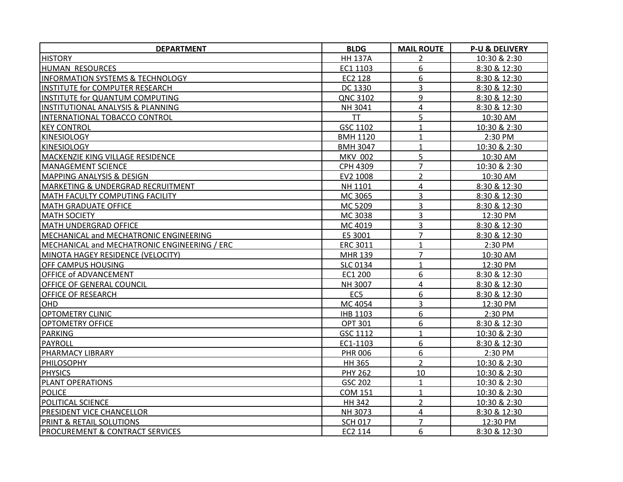| <b>DEPARTMENT</b>                            | <b>BLDG</b>     | <b>MAIL ROUTE</b> | <b>P-U &amp; DELIVERY</b> |
|----------------------------------------------|-----------------|-------------------|---------------------------|
| <b>HISTORY</b>                               | <b>HH 137A</b>  | $\overline{2}$    | 10:30 & 2:30              |
| HUMAN RESOURCES                              | EC1 1103        | 6                 | 8:30 & 12:30              |
| <b>INFORMATION SYSTEMS &amp; TECHNOLOGY</b>  | EC2 128         | 6                 | 8:30 & 12:30              |
| INSTITUTE for COMPUTER RESEARCH              | DC 1330         | 3                 | 8:30 & 12:30              |
| INSTITUTE for QUANTUM COMPUTING              | QNC 3102        | 9                 | 8:30 & 12:30              |
| INSTITUTIONAL ANALYSIS & PLANNING            | NH 3041         | $\overline{4}$    | 8:30 & 12:30              |
| INTERNATIONAL TOBACCO CONTROL                | TT              | 5                 | 10:30 AM                  |
| <b>KEY CONTROL</b>                           | GSC 1102        | $\mathbf{1}$      | 10:30 & 2:30              |
| <b>KINESIOLOGY</b>                           | <b>BMH 1120</b> | $\mathbf{1}$      | 2:30 PM                   |
| <b>KINESIOLOGY</b>                           | <b>BMH 3047</b> | $\mathbf{1}$      | 10:30 & 2:30              |
| MACKENZIE KING VILLAGE RESIDENCE             | <b>MKV 002</b>  | 5                 | 10:30 AM                  |
| <b>MANAGEMENT SCIENCE</b>                    | CPH 4309        | $\overline{7}$    | 10:30 & 2:30              |
| <b>MAPPING ANALYSIS &amp; DESIGN</b>         | EV2 1008        | $\overline{2}$    | 10:30 AM                  |
| MARKETING & UNDERGRAD RECRUITMENT            | NH 1101         | 4                 | 8:30 & 12:30              |
| MATH FACULTY COMPUTING FACILITY              | MC 3065         | 3                 | 8:30 & 12:30              |
| <b>MATH GRADUATE OFFICE</b>                  | MC 5209         | 3                 | 8:30 & 12:30              |
| <b>MATH SOCIETY</b>                          | MC 3038         | $\overline{3}$    | 12:30 PM                  |
| <b>MATH UNDERGRAD OFFICE</b>                 | MC 4019         | 3                 | 8:30 & 12:30              |
| MECHANICAL and MECHATRONIC ENGINEERING       | E5 3001         | $\overline{7}$    | 8:30 & 12:30              |
| MECHANICAL and MECHATRONIC ENGINEERING / ERC | <b>ERC 3011</b> | $\mathbf{1}$      | 2:30 PM                   |
| MINOTA HAGEY RESIDENCE (VELOCITY)            | <b>MHR 139</b>  | $\overline{7}$    | 10:30 AM                  |
| <b>OFF CAMPUS HOUSING</b>                    | <b>SLC 0134</b> | $\mathbf{1}$      | 12:30 PM                  |
| <b>OFFICE of ADVANCEMENT</b>                 | EC1 200         | 6                 | 8:30 & 12:30              |
| <b>OFFICE OF GENERAL COUNCIL</b>             | NH 3007         | $\overline{4}$    | 8:30 & 12:30              |
| <b>OFFICE OF RESEARCH</b>                    | EC <sub>5</sub> | 6                 | 8:30 & 12:30              |
| <b>OHD</b>                                   | MC 4054         | 3                 | 12:30 PM                  |
| <b>OPTOMETRY CLINIC</b>                      | <b>IHB 1103</b> | 6                 | 2:30 PM                   |
| <b>OPTOMETRY OFFICE</b>                      | <b>OPT 301</b>  | 6                 | 8:30 & 12:30              |
| <b>PARKING</b>                               | GSC 1112        | $\mathbf{1}$      | 10:30 & 2:30              |
| PAYROLL                                      | EC1-1103        | 6                 | 8:30 & 12:30              |
| PHARMACY LIBRARY                             | <b>PHR 006</b>  | 6                 | 2:30 PM                   |
| <b>PHILOSOPHY</b>                            | HH 365          | $\overline{2}$    | 10:30 & 2:30              |
| <b>PHYSICS</b>                               | <b>PHY 262</b>  | 10                | 10:30 & 2:30              |
| <b>PLANT OPERATIONS</b>                      | GSC 202         | $\mathbf{1}$      | 10:30 & 2:30              |
| <b>POLICE</b>                                | <b>COM 151</b>  | $\mathbf{1}$      | 10:30 & 2:30              |
| POLITICAL SCIENCE                            | <b>HH 342</b>   | $\overline{2}$    | 10:30 & 2:30              |
| <b>PRESIDENT VICE CHANCELLOR</b>             | NH 3073         | 4                 | 8:30 & 12:30              |
| PRINT & RETAIL SOLUTIONS                     | <b>SCH 017</b>  | $\overline{7}$    | 12:30 PM                  |
| <b>PROCUREMENT &amp; CONTRACT SERVICES</b>   | EC2 114         | 6                 | 8:30 & 12:30              |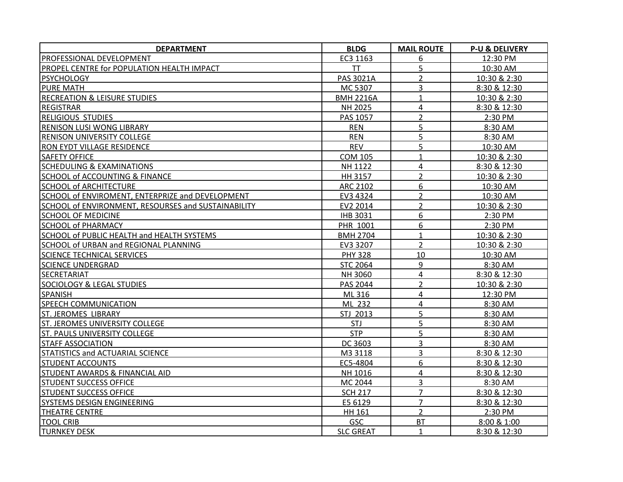| <b>DEPARTMENT</b>                                   | <b>BLDG</b>      | <b>MAIL ROUTE</b> | <b>P-U &amp; DELIVERY</b> |
|-----------------------------------------------------|------------------|-------------------|---------------------------|
| PROFESSIONAL DEVELOPMENT                            | EC3 1163         | 6                 | 12:30 PM                  |
| PROPEL CENTRE for POPULATION HEALTH IMPACT          | <b>TT</b>        | 5                 | 10:30 AM                  |
| <b>PSYCHOLOGY</b>                                   | PAS 3021A        | $\overline{2}$    | 10:30 & 2:30              |
| PURE MATH                                           | MC 5307          | 3                 | 8:30 & 12:30              |
| <b>RECREATION &amp; LEISURE STUDIES</b>             | <b>BMH 2216A</b> | $\mathbf{1}$      | 10:30 & 2:30              |
| <b>REGISTRAR</b>                                    | NH 2025          | 4                 | 8:30 & 12:30              |
| <b>RELIGIOUS STUDIES</b>                            | PAS 1057         | $\overline{2}$    | 2:30 PM                   |
| <b>RENISON LUSI WONG LIBRARY</b>                    | <b>REN</b>       | 5                 | 8:30 AM                   |
| <b>RENISON UNIVERSITY COLLEGE</b>                   | <b>REN</b>       | 5                 | 8:30 AM                   |
| <b>RON EYDT VILLAGE RESIDENCE</b>                   | <b>REV</b>       | 5                 | 10:30 AM                  |
| <b>SAFETY OFFICE</b>                                | <b>COM 105</b>   | $\mathbf{1}$      | 10:30 & 2:30              |
| <b>SCHEDULING &amp; EXAMINATIONS</b>                | NH 1122          | 4                 | 8:30 & 12:30              |
| <b>SCHOOL of ACCOUNTING &amp; FINANCE</b>           | HH 3157          | $\overline{2}$    | 10:30 & 2:30              |
| <b>SCHOOL of ARCHITECTURE</b>                       | <b>ARC 2102</b>  | 6                 | 10:30 AM                  |
| SCHOOL of ENVIROMENT, ENTERPRIZE and DEVELOPMENT    | EV3 4324         | $\overline{2}$    | 10:30 AM                  |
| SCHOOL of ENVIRONMENT, RESOURSES and SUSTAINABILITY | EV2 2014         | $\overline{2}$    | 10:30 & 2:30              |
| <b>SCHOOL OF MEDICINE</b>                           | <b>IHB 3031</b>  | 6                 | 2:30 PM                   |
| <b>SCHOOL of PHARMACY</b>                           | PHR 1001         | 6                 | 2:30 PM                   |
| SCHOOL of PUBLIC HEALTH and HEALTH SYSTEMS          | <b>BMH 2704</b>  | $\mathbf{1}$      | 10:30 & 2:30              |
| SCHOOL of URBAN and REGIONAL PLANNING               | EV3 3207         | $\overline{2}$    | 10:30 & 2:30              |
| <b>SCIENCE TECHNICAL SERVICES</b>                   | <b>PHY 328</b>   | 10                | 10:30 AM                  |
| <b>SCIENCE UNDERGRAD</b>                            | <b>STC 2064</b>  | 9                 | 8:30 AM                   |
| SECRETARIAT                                         | NH 3060          | 4                 | 8:30 & 12:30              |
| <b>SOCIOLOGY &amp; LEGAL STUDIES</b>                | PAS 2044         | $\overline{2}$    | 10:30 & 2:30              |
| <b>SPANISH</b>                                      | ML 316           | 4                 | 12:30 PM                  |
| <b>SPEECH COMMUNICATION</b>                         | ML 232           | 4                 | 8:30 AM                   |
| ST. JEROMES LIBRARY                                 | STJ 2013         | 5                 | 8:30 AM                   |
| <b>ST. JEROMES UNIVERSITY COLLEGE</b>               | STJ              | 5                 | 8:30 AM                   |
| <b>ST. PAULS UNIVERSITY COLLEGE</b>                 | <b>STP</b>       | 5                 | 8:30 AM                   |
| <b>STAFF ASSOCIATION</b>                            | DC 3603          | 3                 | 8:30 AM                   |
| STATISTICS and ACTUARIAL SCIENCE                    | M3 3118          | 3                 | 8:30 & 12:30              |
| <b>STUDENT ACCOUNTS</b>                             | EC5-4804         | 6                 | 8:30 & 12:30              |
| STUDENT AWARDS & FINANCIAL AID                      | NH 1016          | 4                 | 8:30 & 12:30              |
| <b>STUDENT SUCCESS OFFICE</b>                       | MC 2044          | 3                 | 8:30 AM                   |
| <b>STUDENT SUCCESS OFFICE</b>                       | <b>SCH 217</b>   | $\overline{7}$    | 8:30 & 12:30              |
| SYSTEMS DESIGN ENGINEERING                          | E5 6129          | $\overline{7}$    | 8:30 & 12:30              |
| <b>THEATRE CENTRE</b>                               | HH 161           | $\overline{2}$    | 2:30 PM                   |
| <b>TOOL CRIB</b>                                    | <b>GSC</b>       | <b>BT</b>         | 8:00 & 1:00               |
| <b>TURNKEY DESK</b>                                 | <b>SLC GREAT</b> | $\mathbf{1}$      | 8:30 & 12:30              |